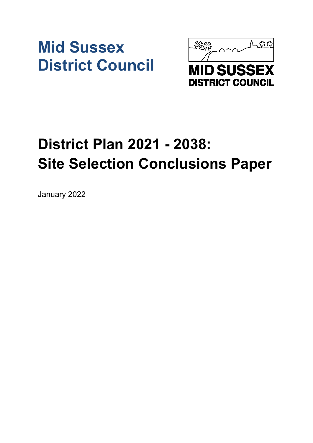# **Mid Sussex District Council**



# **District Plan 2021 - 2038: Site Selection Conclusions Paper**

January 2022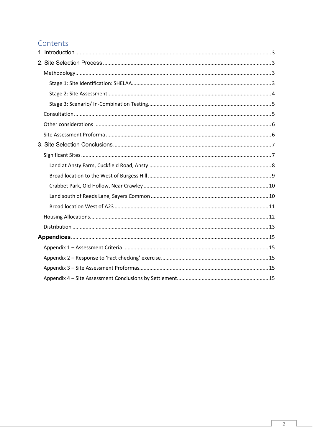# Contents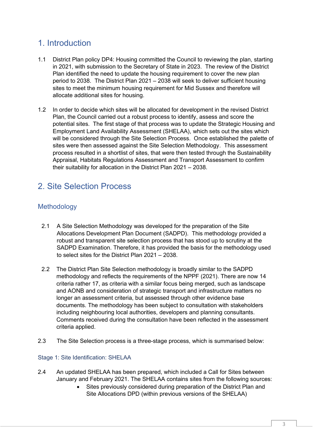# <span id="page-2-0"></span>1. Introduction

- 1.1 District Plan policy DP4: Housing committed the Council to reviewing the plan, starting in 2021, with submission to the Secretary of State in 2023. The review of the District Plan identified the need to update the housing requirement to cover the new plan period to 2038. The District Plan 2021 – 2038 will seek to deliver sufficient housing sites to meet the minimum housing requirement for Mid Sussex and therefore will allocate additional sites for housing.
- 1.2 In order to decide which sites will be allocated for development in the revised District Plan, the Council carried out a robust process to identify, assess and score the potential sites. The first stage of that process was to update the Strategic Housing and Employment Land Availability Assessment (SHELAA), which sets out the sites which will be considered through the Site Selection Process. Once established the palette of sites were then assessed against the Site Selection Methodology. This assessment process resulted in a shortlist of sites, that were then tested through the Sustainability Appraisal, Habitats Regulations Assessment and Transport Assessment to confirm their suitability for allocation in the District Plan 2021 – 2038.

# <span id="page-2-1"></span>2. Site Selection Process

## <span id="page-2-2"></span>Methodology

- 2.1 A Site Selection Methodology was developed for the preparation of the Site Allocations Development Plan Document (SADPD). This methodology provided a robust and transparent site selection process that has stood up to scrutiny at the SADPD Examination. Therefore, it has provided the basis for the methodology used to select sites for the District Plan 2021 – 2038.
- 2.2 The District Plan Site Selection methodology is broadly similar to the SADPD methodology and reflects the requirements of the NPPF (2021). There are now 14 criteria rather 17, as criteria with a similar focus being merged, such as landscape and AONB and consideration of strategic transport and infrastructure matters no longer an assessment criteria, but assessed through other evidence base documents. The methodology has been subject to consultation with stakeholders including neighbouring local authorities, developers and planning consultants. Comments received during the consultation have been reflected in the assessment criteria applied.
- 2.3 The Site Selection process is a three-stage process, which is summarised below:

## <span id="page-2-3"></span>Stage 1: Site Identification: SHELAA

- 2.4 An updated SHELAA has been prepared, which included a Call for Sites between January and February 2021. The SHELAA contains sites from the following sources:
	- Sites previously considered during preparation of the District Plan and Site Allocations DPD (within previous versions of the SHELAA)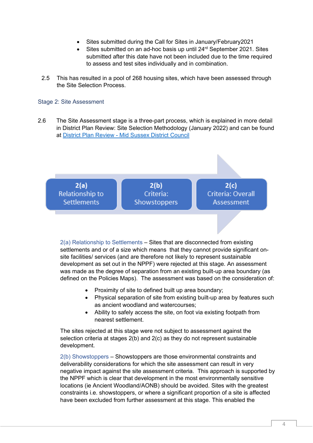- Sites submitted during the Call for Sites in January/February2021
- Sites submitted on an ad-hoc basis up until 24<sup>rd</sup> September 2021. Sites submitted after this date have not been included due to the time required to assess and test sites individually and in combination.
- 2.5 This has resulted in a pool of 268 housing sites, which have been assessed through the Site Selection Process.

#### <span id="page-3-0"></span>Stage 2: Site Assessment

2.6 The Site Assessment stage is a three-part process, which is explained in more detail in District Plan Review: Site Selection Methodology (January 2022) and can be found at District Plan Review - [Mid Sussex District Council](https://www.midsussex.gov.uk/planning-building/mid-sussex-district-plan/district-plan-review/)



2(a) Relationship to Settlements – Sites that are disconnected from existing settlements and or of a size which means that they cannot provide significant onsite facilities/ services (and are therefore not likely to represent sustainable development as set out in the NPPF) were rejected at this stage. An assessment was made as the degree of separation from an existing built-up area boundary (as defined on the Policies Maps). The assessment was based on the consideration of:

- Proximity of site to defined built up area boundary;
- Physical separation of site from existing built-up area by features such as ancient woodland and watercourses;
- Ability to safely access the site, on foot via existing footpath from nearest settlement.

The sites rejected at this stage were not subject to assessment against the selection criteria at stages 2(b) and 2(c) as they do not represent sustainable development.

2(b) Showstoppers – Showstoppers are those environmental constraints and deliverability considerations for which the site assessment can result in very negative impact against the site assessment criteria. This approach is supported by the NPPF which is clear that development in the most environmentally sensitive locations (ie Ancient Woodland/AONB) should be avoided. Sites with the greatest constraints i.e. showstoppers, or where a significant proportion of a site is affected have been excluded from further assessment at this stage. This enabled the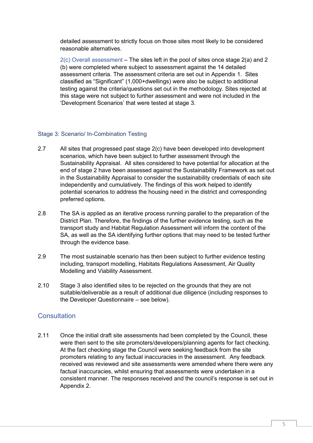detailed assessment to strictly focus on those sites most likely to be considered reasonable alternatives.

2(c) Overall assessment – The sites left in the pool of sites once stage 2(a) and 2 (b) were completed where subject to assessment against the 14 detailed assessment criteria. The assessment criteria are set out in Appendix 1. Sites classified as "Significant" (1,000+dwellings) were also be subject to additional testing against the criteria/questions set out in the methodology. Sites rejected at this stage were not subject to further assessment and were not included in the 'Development Scenarios' that were tested at stage 3.

### <span id="page-4-0"></span>Stage 3: Scenario/ In-Combination Testing

- 2.7 All sites that progressed past stage 2(c) have been developed into development scenarios, which have been subject to further assessment through the Sustainability Appraisal. All sites considered to have potential for allocation at the end of stage 2 have been assessed against the Sustainability Framework as set out in the Sustainability Appraisal to consider the sustainability credentials of each site independently and cumulatively. The findings of this work helped to identify potential scenarios to address the housing need in the district and corresponding preferred options.
- 2.8 The SA is applied as an iterative process running parallel to the preparation of the District Plan. Therefore, the findings of the further evidence testing, such as the transport study and Habitat Regulation Assessment will inform the content of the SA, as well as the SA identifying further options that may need to be tested further through the evidence base.
- 2.9 The most sustainable scenario has then been subject to further evidence testing including, transport modelling, Habitats Regulations Assessment, Air Quality Modelling and Viability Assessment.
- 2.10 Stage 3 also identified sites to be rejected on the grounds that they are not suitable/deliverable as a result of additional due diligence (including responses to the Developer Questionnaire – see below).

## <span id="page-4-1"></span>**Consultation**

2.11 Once the initial draft site assessments had been completed by the Council, these were then sent to the site promoters/developers/planning agents for fact checking. At the fact checking stage the Council were seeking feedback from the site promoters relating to any factual inaccuracies in the assessment. Any feedback received was reviewed and site assessments were amended where there were any factual inaccuracies, whilst ensuring that assessments were undertaken in a consistent manner. The responses received and the council's response is set out in Appendix 2.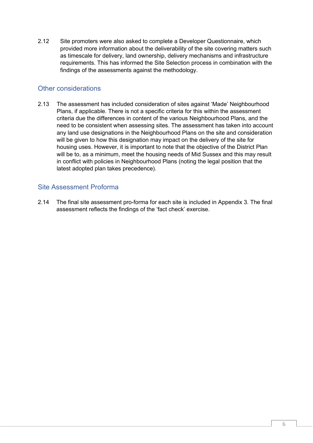2.12 Site promoters were also asked to complete a Developer Questionnaire, which provided more information about the deliverability of the site covering matters such as timescale for delivery, land ownership, delivery mechanisms and infrastructure requirements. This has informed the Site Selection process in combination with the findings of the assessments against the methodology.

## <span id="page-5-0"></span>Other considerations

2.13 The assessment has included consideration of sites against 'Made' Neighbourhood Plans, if applicable. There is not a specific criteria for this within the assessment criteria due the differences in content of the various Neighbourhood Plans, and the need to be consistent when assessing sites. The assessment has taken into account any land use designations in the Neighbourhood Plans on the site and consideration will be given to how this designation may impact on the delivery of the site for housing uses. However, it is important to note that the objective of the District Plan will be to, as a minimum, meet the housing needs of Mid Sussex and this may result in conflict with policies in Neighbourhood Plans (noting the legal position that the latest adopted plan takes precedence).

## <span id="page-5-1"></span>Site Assessment Proforma

2.14 The final site assessment pro-forma for each site is included in Appendix 3. The final assessment reflects the findings of the 'fact check' exercise.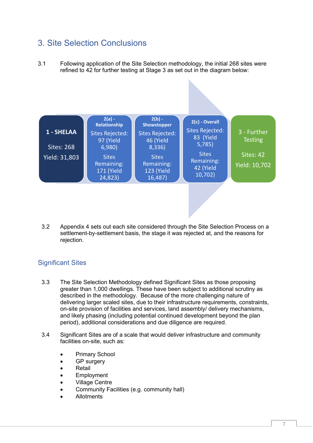# <span id="page-6-0"></span>3. Site Selection Conclusions

3.1 Following application of the Site Selection methodology, the initial 268 sites were refined to 42 for further testing at Stage 3 as set out in the diagram below:



3.2 Appendix 4 sets out each site considered through the Site Selection Process on a settlement-by-settlement basis, the stage it was rejected at, and the reasons for rejection.

## <span id="page-6-1"></span>Significant Sites

- 3.3 The Site Selection Methodology defined Significant Sites as those proposing greater than 1,000 dwellings. These have been subject to additional scrutiny as described in the methodology. Because of the more challenging nature of delivering larger scaled sites, due to their infrastructure requirements, constraints, on-site provision of facilities and services, land assembly/ delivery mechanisms, and likely phasing (including potential continued development beyond the plan period), additional considerations and due diligence are required.
- 3.4 Significant Sites are of a scale that would deliver infrastructure and community facilities on-site, such as:
	- Primary School
	- **GP** surgery
	- **Retail**
	- **Employment**
	- Village Centre
	- Community Facilities (e.g. community hall)
	- Allotments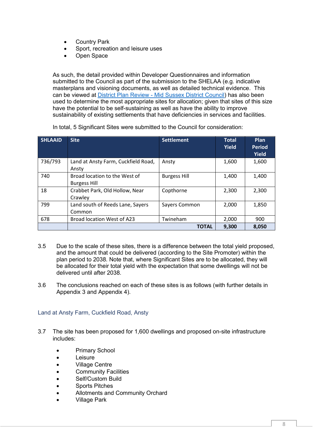- **Country Park**
- Sport, recreation and leisure uses
- Open Space

As such, the detail provided within Developer Questionnaires and information submitted to the Council as part of the submission to the SHELAA (e.g. indicative masterplans and visioning documents, as well as detailed technical evidence. This can be viewed at District Plan Review - [Mid Sussex District Council\)](https://www.midsussex.gov.uk/planning-building/mid-sussex-district-plan/district-plan-review/) has also been used to determine the most appropriate sites for allocation; given that sites of this size have the potential to be self-sustaining as well as have the ability to improve sustainability of existing settlements that have deficiencies in services and facilities.

| <b>SHLAAID</b> | <b>Site</b>                                          | <b>Settlement</b>   | Total<br>Yield | <b>Plan</b><br><b>Period</b><br>Yield |
|----------------|------------------------------------------------------|---------------------|----------------|---------------------------------------|
| 736/793        | Land at Ansty Farm, Cuckfield Road,<br>Ansty         | Ansty               | 1,600          | 1,600                                 |
| 740            | Broad location to the West of<br><b>Burgess Hill</b> | <b>Burgess Hill</b> | 1,400          | 1,400                                 |
| 18             | Crabbet Park, Old Hollow, Near<br>Crawley            | Copthorne           | 2,300          | 2,300                                 |
| 799            | Land south of Reeds Lane, Sayers<br>Common           | Sayers Common       | 2,000          | 1,850                                 |
| 678            | Broad location West of A23                           | Twineham            | 2,000          | 900                                   |
|                |                                                      | <b>TOTAL</b>        | 9,300          | 8,050                                 |

In total, 5 Significant Sites were submitted to the Council for consideration:

- 3.5 Due to the scale of these sites, there is a difference between the total yield proposed, and the amount that could be delivered (according to the Site Promoter) within the plan period to 2038. Note that, where Significant Sites are to be allocated, they will be allocated for their total yield with the expectation that some dwellings will not be delivered until after 2038.
- 3.6 The conclusions reached on each of these sites is as follows (with further details in Appendix 3 and Appendix 4).

<span id="page-7-0"></span>Land at Ansty Farm, Cuckfield Road, Ansty

- 3.7 The site has been proposed for 1,600 dwellings and proposed on-site infrastructure includes:
	- Primary School
	- Leisure
	- Village Centre
	- **Community Facilities**
	- Self/Custom Build
	- Sports Pitches
	- Allotments and Community Orchard
	- Village Park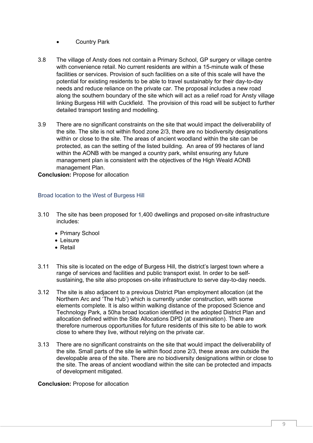- Country Park
- 3.8 The village of Ansty does not contain a Primary School, GP surgery or village centre with convenience retail. No current residents are within a 15-minute walk of these facilities or services. Provision of such facilities on a site of this scale will have the potential for existing residents to be able to travel sustainably for their day-to-day needs and reduce reliance on the private car. The proposal includes a new road along the southern boundary of the site which will act as a relief road for Ansty village linking Burgess Hill with Cuckfield. The provision of this road will be subject to further detailed transport testing and modelling.
- 3.9 There are no significant constraints on the site that would impact the deliverability of the site. The site is not within flood zone 2/3, there are no biodiversity designations within or close to the site. The areas of ancient woodland within the site can be protected, as can the setting of the listed building. An area of 99 hectares of land within the AONB with be manged a country park, whilst ensuring any future management plan is consistent with the objectives of the High Weald AONB management Plan.

**Conclusion:** Propose for allocation

## <span id="page-8-0"></span>Broad location to the West of Burgess Hill

- 3.10 The site has been proposed for 1,400 dwellings and proposed on-site infrastructure includes:
	- Primary School
	- Leisure
	- Retail
- 3.11 This site is located on the edge of Burgess Hill, the district's largest town where a range of services and facilities and public transport exist. In order to be selfsustaining, the site also proposes on-site infrastructure to serve day-to-day needs.
- 3.12 The site is also adjacent to a previous District Plan employment allocation (at the Northern Arc and 'The Hub') which is currently under construction, with some elements complete. It is also within walking distance of the proposed Science and Technology Park, a 50ha broad location identified in the adopted District Plan and allocation defined within the Site Allocations DPD (at examination). There are therefore numerous opportunities for future residents of this site to be able to work close to where they live, without relying on the private car.
- 3.13 There are no significant constraints on the site that would impact the deliverability of the site. Small parts of the site lie within flood zone 2/3, these areas are outside the developable area of the site. There are no biodiversity designations within or close to the site. The areas of ancient woodland within the site can be protected and impacts of development mitigated.

### **Conclusion:** Propose for allocation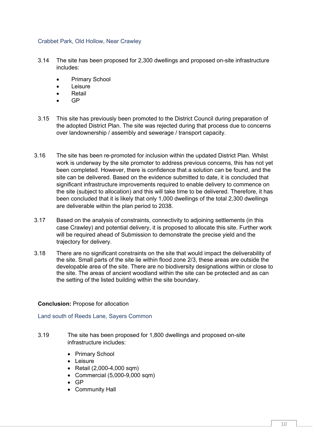### <span id="page-9-0"></span>Crabbet Park, Old Hollow, Near Crawley

- 3.14 The site has been proposed for 2,300 dwellings and proposed on-site infrastructure includes:
	- Primary School
	- Leisure
	- Retail
	- GP
- 3.15 This site has previously been promoted to the District Council during preparation of the adopted District Plan. The site was rejected during that process due to concerns over landownership / assembly and sewerage / transport capacity.
- 3.16 The site has been re-promoted for inclusion within the updated District Plan. Whilst work is underway by the site promoter to address previous concerns, this has not yet been completed. However, there is confidence that a solution can be found, and the site can be delivered. Based on the evidence submitted to date, it is concluded that significant infrastructure improvements required to enable delivery to commence on the site (subject to allocation) and this will take time to be delivered. Therefore, it has been concluded that it is likely that only 1,000 dwellings of the total 2,300 dwellings are deliverable within the plan period to 2038.
- 3.17 Based on the analysis of constraints, connectivity to adjoining settlements (in this case Crawley) and potential delivery, it is proposed to allocate this site. Further work will be required ahead of Submission to demonstrate the precise yield and the trajectory for delivery.
- 3.18 There are no significant constraints on the site that would impact the deliverability of the site. Small parts of the site lie within flood zone 2/3, these areas are outside the developable area of the site. There are no biodiversity designations within or close to the site. The areas of ancient woodland within the site can be protected and as can the setting of the listed building within the site boundary.

### **Conclusion:** Propose for allocation

<span id="page-9-1"></span>Land south of Reeds Lane, Sayers Common

- 3.19 The site has been proposed for 1,800 dwellings and proposed on-site infrastructure includes:
	- Primary School
	- Leisure
	- Retail (2,000-4,000 sqm)
	- Commercial (5,000-9,000 sqm)
	- GP
	- Community Hall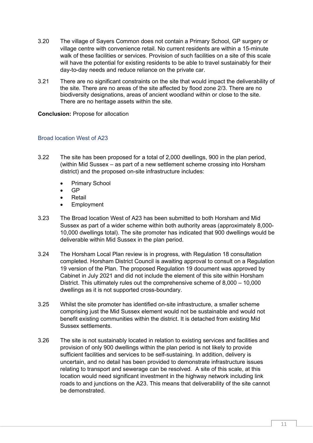- 3.20 The village of Sayers Common does not contain a Primary School, GP surgery or village centre with convenience retail. No current residents are within a 15-minute walk of these facilities or services. Provision of such facilities on a site of this scale will have the potential for existing residents to be able to travel sustainably for their day-to-day needs and reduce reliance on the private car.
- 3.21 There are no significant constraints on the site that would impact the deliverability of the site. There are no areas of the site affected by flood zone 2/3. There are no biodiversity designations, areas of ancient woodland within or close to the site. There are no heritage assets within the site.

### **Conclusion:** Propose for allocation

## <span id="page-10-0"></span>Broad location West of A23

- 3.22 The site has been proposed for a total of 2,000 dwellings, 900 in the plan period, (within Mid Sussex – as part of a new settlement scheme crossing into Horsham district) and the proposed on-site infrastructure includes:
	- Primary School
	- GP
	- **Retail**
	- **Employment**
- 3.23 The Broad location West of A23 has been submitted to both Horsham and Mid Sussex as part of a wider scheme within both authority areas (approximately 8,000- 10,000 dwellings total). The site promoter has indicated that 900 dwellings would be deliverable within Mid Sussex in the plan period.
- 3.24 The Horsham Local Plan review is in progress, with Regulation 18 consultation completed. Horsham District Council is awaiting approval to consult on a Regulation 19 version of the Plan. The proposed Regulation 19 document was approved by Cabinet in July 2021 and did not include the element of this site within Horsham District. This ultimately rules out the comprehensive scheme of 8,000 – 10,000 dwellings as it is not supported cross-boundary.
- 3.25 Whilst the site promoter has identified on-site infrastructure, a smaller scheme comprising just the Mid Sussex element would not be sustainable and would not benefit existing communities within the district. It is detached from existing Mid Sussex settlements.
- 3.26 The site is not sustainably located in relation to existing services and facilities and provision of only 900 dwellings within the plan period is not likely to provide sufficient facilities and services to be self-sustaining. In addition, delivery is uncertain, and no detail has been provided to demonstrate infrastructure issues relating to transport and sewerage can be resolved. A site of this scale, at this location would need significant investment in the highway network including link roads to and junctions on the A23. This means that deliverability of the site cannot be demonstrated.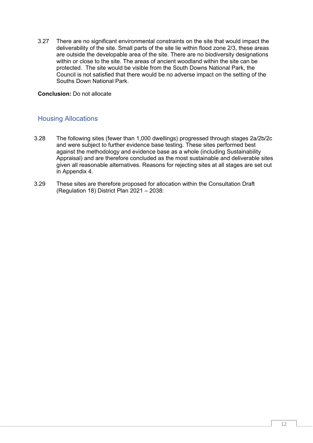3.27 There are no significant environmental constraints on the site that would impact the deliverability of the site. Small parts of the site lie within flood zone 2/3, these areas are outside the developable area of the site. There are no biodiversity designations within or close to the site. The areas of ancient woodland within the site can be protected. The site would be visible from the South Downs National Park, the Council is not satisfied that there would be no adverse impact on the setting of the Souths Down National Park.

**Conclusion:** Do not allocate

## <span id="page-11-0"></span>Housing Allocations

- 3.28 The following sites (fewer than 1,000 dwellings) progressed through stages 2a/2b/2c and were subject to further evidence base testing. These sites performed best against the methodology and evidence base as a whole (including Sustainability Appraisal) and are therefore concluded as the most sustainable and deliverable sites given all reasonable alternatives. Reasons for rejecting sites at all stages are set out in Appendix 4.
- 3.29 These sites are therefore proposed for allocation within the Consultation Draft (Regulation 18) District Plan 2021 – 2038: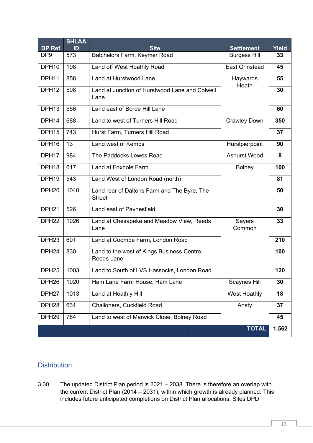| DP Ref            | <b>SHLAA</b><br>ID | <b>Site</b>                                                     | <b>Settlement</b>     | Yield |
|-------------------|--------------------|-----------------------------------------------------------------|-----------------------|-------|
| DP <sub>9</sub>   | 573                | Batchelors Farm, Keymer Road                                    | <b>Burgess Hill</b>   | 33    |
| DPH <sub>10</sub> | 198                | Land off West Hoathly Road                                      | <b>East Grinstead</b> | 45    |
| DPH11             | 858                | Land at Hurstwood Lane                                          | Haywards              | 55    |
| DPH <sub>12</sub> | 508                | Land at Junction of Hurstwood Lane and Colwell<br>Lane          | Heath                 | 30    |
| DPH <sub>13</sub> | 556                | Land east of Borde Hill Lane                                    |                       | 60    |
| DPH14             | 688                | Land to west of Turners Hill Road                               | <b>Crawley Down</b>   | 350   |
| DPH <sub>15</sub> | 743                | Hurst Farm, Turners Hill Road                                   |                       | 37    |
| DPH16             | 13                 | Land west of Kemps                                              | Hurstpierpoint        | 90    |
| DPH17             | 984                | The Paddocks Lewes Road                                         | Ashurst Wood          | 8     |
| DPH <sub>18</sub> | 617                | Land at Foxhole Farm                                            | <b>Bolney</b>         | 100   |
| DPH <sub>19</sub> | 543                | Land West of London Road (north)                                |                       | 81    |
| DPH <sub>20</sub> | 1040               | Land rear of Daltons Farm and The Byre, The<br><b>Street</b>    |                       | 50    |
| DPH <sub>21</sub> | 526                | Land east of Paynesfield                                        |                       | 30    |
| DPH <sub>22</sub> | 1026               | Land at Chesapeke and Meadow View, Reeds<br>Lane                | Sayers<br>Common      |       |
| DPH <sub>23</sub> | 601                | Land at Coombe Farm, London Road                                |                       | 210   |
| DPH <sub>24</sub> | 830                | Land to the west of Kings Business Centre,<br><b>Reeds Lane</b> |                       | 100   |
| DPH <sub>25</sub> | 1003               | Land to South of LVS Hassocks, London Road                      |                       | 120   |
| DPH <sub>26</sub> | 1020               | Ham Lane Farm House, Ham Lane                                   | Scaynes Hill          | 30    |
| DPH <sub>27</sub> | 1013               | Land at Hoathly Hill                                            | West Hoathly          | 18    |
| DPH <sub>28</sub> | 631                | Challoners, Cuckfield Road                                      | Ansty                 | 37    |
| DPH <sub>29</sub> | 784                | Land to west of Marwick Close, Bolney Road                      |                       | 45    |
|                   |                    |                                                                 | <b>TOTAL</b>          | 1,562 |

## <span id="page-12-0"></span>**Distribution**

3.30 The updated District Plan period is 2021 – 2038. There is therefore an overlap with the current District Plan (2014 – 2031), within which growth is already planned. This includes future anticipated completions on District Plan allocations, Sites DPD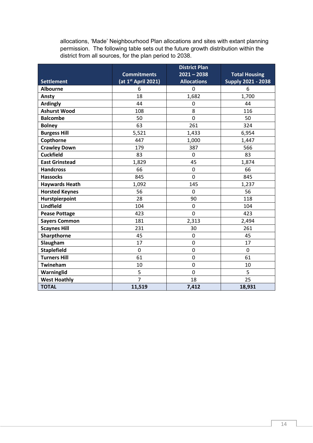allocations, 'Made' Neighbourhood Plan allocations and sites with extant planning permission. The following table sets out the future growth distribution within the district from all sources, for the plan period to 2038.

|                       |                                 | <b>District Plan</b> |                           |
|-----------------------|---------------------------------|----------------------|---------------------------|
|                       | <b>Commitments</b>              | $2021 - 2038$        | <b>Total Housing</b>      |
| <b>Settlement</b>     | (at $1^{\text{st}}$ April 2021) | <b>Allocations</b>   | <b>Supply 2021 - 2038</b> |
| <b>Albourne</b>       | 6                               | 0                    | 6                         |
| Ansty                 | 18                              | 1,682                | 1,700                     |
| <b>Ardingly</b>       | 44                              | 0                    | 44                        |
| <b>Ashurst Wood</b>   | 108                             | 8                    | 116                       |
| <b>Balcombe</b>       | 50                              | $\mathbf 0$          | 50                        |
| <b>Bolney</b>         | 63                              | 261                  | 324                       |
| <b>Burgess Hill</b>   | 5,521                           | 1,433                | 6,954                     |
| Copthorne             | 447                             | 1,000                | 1,447                     |
| <b>Crawley Down</b>   | 179                             | 387                  | 566                       |
| <b>Cuckfield</b>      | 83                              | 0                    | 83                        |
| <b>East Grinstead</b> | 1,829                           | 45                   | 1,874                     |
| <b>Handcross</b>      | 66                              | 0                    | 66                        |
| <b>Hassocks</b>       | 845                             | 0                    | 845                       |
| <b>Haywards Heath</b> | 1,092                           | 145                  | 1,237                     |
| <b>Horsted Keynes</b> | 56                              | 0                    | 56                        |
| Hurstpierpoint        | 28                              | 90                   | 118                       |
| Lindfield             | 104                             | $\mathbf 0$          | 104                       |
| <b>Pease Pottage</b>  | 423                             | $\mathbf 0$          | 423                       |
| <b>Sayers Common</b>  | 181                             | 2,313                | 2,494                     |
| <b>Scaynes Hill</b>   | 231                             | 30                   | 261                       |
| Sharpthorne           | 45                              | 0                    | 45                        |
| Slaugham              | 17                              | 0                    | 17                        |
| <b>Staplefield</b>    | $\mathbf 0$                     | $\mathbf 0$          | $\overline{0}$            |
| <b>Turners Hill</b>   | 61                              | 0                    | 61                        |
| Twineham              | 10                              | 0                    | 10                        |
| Warninglid            | 5                               | 0                    | 5                         |
| <b>West Hoathly</b>   | $\overline{7}$                  | 18                   | 25                        |
| <b>TOTAL</b>          | 11,519                          | 7,412                | 18,931                    |